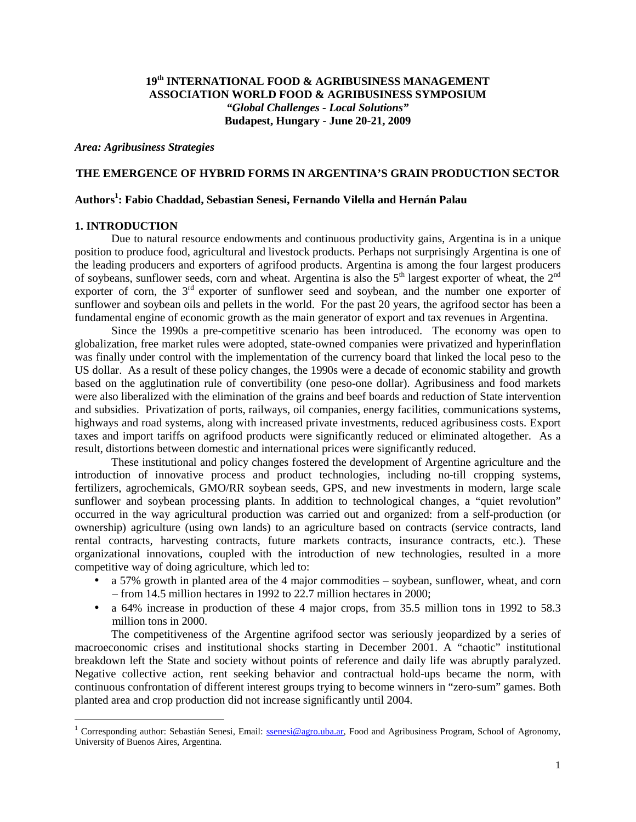# **19th INTERNATIONAL FOOD & AGRIBUSINESS MANAGEMENT ASSOCIATION WORLD FOOD & AGRIBUSINESS SYMPOSIUM**  *"Global Challenges - Local Solutions"*  **Budapest, Hungary** *-* **June 20-21, 2009**

*Area: Agribusiness Strategies* 

## **THE EMERGENCE OF HYBRID FORMS IN ARGENTINA'S GRAIN PRODUCTION SECTOR**

# **Authors<sup>1</sup> : Fabio Chaddad, Sebastian Senesi, Fernando Vilella and Hernán Palau**

### **1. INTRODUCTION**

Due to natural resource endowments and continuous productivity gains, Argentina is in a unique position to produce food, agricultural and livestock products. Perhaps not surprisingly Argentina is one of the leading producers and exporters of agrifood products. Argentina is among the four largest producers of soybeans, sunflower seeds, corn and wheat. Argentina is also the  $5<sup>th</sup>$  largest exporter of wheat, the  $2<sup>nd</sup>$ exporter of corn, the  $3<sup>rd</sup>$  exporter of sunflower seed and soybean, and the number one exporter of sunflower and soybean oils and pellets in the world. For the past 20 years, the agrifood sector has been a fundamental engine of economic growth as the main generator of export and tax revenues in Argentina.

Since the 1990s a pre-competitive scenario has been introduced. The economy was open to globalization, free market rules were adopted, state-owned companies were privatized and hyperinflation was finally under control with the implementation of the currency board that linked the local peso to the US dollar. As a result of these policy changes, the 1990s were a decade of economic stability and growth based on the agglutination rule of convertibility (one peso-one dollar). Agribusiness and food markets were also liberalized with the elimination of the grains and beef boards and reduction of State intervention and subsidies. Privatization of ports, railways, oil companies, energy facilities, communications systems, highways and road systems, along with increased private investments, reduced agribusiness costs. Export taxes and import tariffs on agrifood products were significantly reduced or eliminated altogether. As a result, distortions between domestic and international prices were significantly reduced.

These institutional and policy changes fostered the development of Argentine agriculture and the introduction of innovative process and product technologies, including no-till cropping systems, fertilizers, agrochemicals, GMO/RR soybean seeds, GPS, and new investments in modern, large scale sunflower and soybean processing plants. In addition to technological changes, a "quiet revolution" occurred in the way agricultural production was carried out and organized: from a self-production (or ownership) agriculture (using own lands) to an agriculture based on contracts (service contracts, land rental contracts, harvesting contracts, future markets contracts, insurance contracts, etc.). These organizational innovations, coupled with the introduction of new technologies, resulted in a more competitive way of doing agriculture, which led to:

- a 57% growth in planted area of the 4 major commodities soybean, sunflower, wheat, and corn – from 14.5 million hectares in 1992 to 22.7 million hectares in 2000;
- a 64% increase in production of these 4 major crops, from 35.5 million tons in 1992 to 58.3 million tons in 2000.

The competitiveness of the Argentine agrifood sector was seriously jeopardized by a series of macroeconomic crises and institutional shocks starting in December 2001. A "chaotic" institutional breakdown left the State and society without points of reference and daily life was abruptly paralyzed. Negative collective action, rent seeking behavior and contractual hold-ups became the norm, with continuous confrontation of different interest groups trying to become winners in "zero-sum" games. Both planted area and crop production did not increase significantly until 2004.

<sup>&</sup>lt;u>n Corresponding author: Sebastián Senesi, Email: ssenesi@agro.uba.ar</u>, Food and Agribusiness Program, School of Agronomy, University of Buenos Aires, Argentina.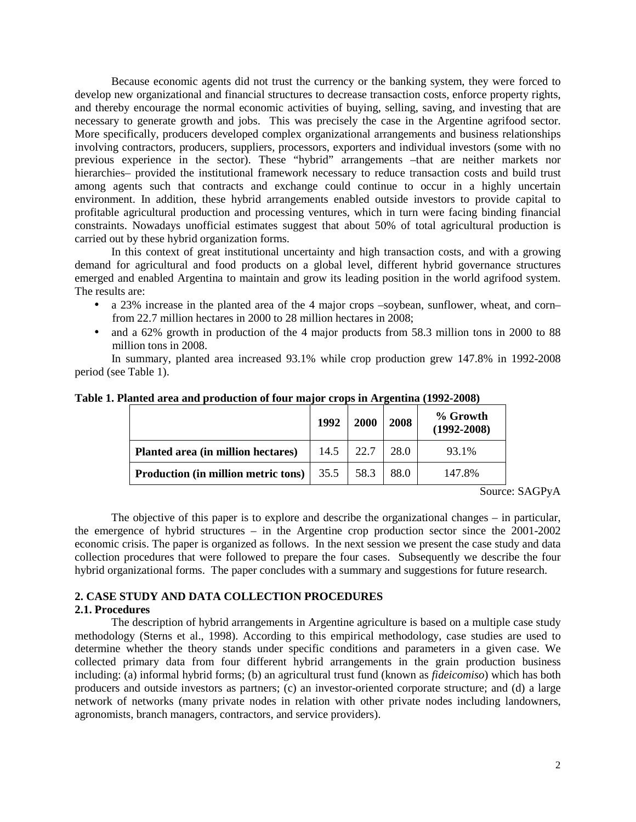Because economic agents did not trust the currency or the banking system, they were forced to develop new organizational and financial structures to decrease transaction costs, enforce property rights, and thereby encourage the normal economic activities of buying, selling, saving, and investing that are necessary to generate growth and jobs. This was precisely the case in the Argentine agrifood sector. More specifically, producers developed complex organizational arrangements and business relationships involving contractors, producers, suppliers, processors, exporters and individual investors (some with no previous experience in the sector). These "hybrid" arrangements –that are neither markets nor hierarchies– provided the institutional framework necessary to reduce transaction costs and build trust among agents such that contracts and exchange could continue to occur in a highly uncertain environment. In addition, these hybrid arrangements enabled outside investors to provide capital to profitable agricultural production and processing ventures, which in turn were facing binding financial constraints. Nowadays unofficial estimates suggest that about 50% of total agricultural production is carried out by these hybrid organization forms.

In this context of great institutional uncertainty and high transaction costs, and with a growing demand for agricultural and food products on a global level, different hybrid governance structures emerged and enabled Argentina to maintain and grow its leading position in the world agrifood system. The results are:

- a 23% increase in the planted area of the 4 major crops –soybean, sunflower, wheat, and corn– from 22.7 million hectares in 2000 to 28 million hectares in 2008;
- and a 62% growth in production of the 4 major products from 58.3 million tons in 2000 to 88 million tons in 2008.

In summary, planted area increased 93.1% while crop production grew 147.8% in 1992-2008 period (see Table 1).

|                                                                      | 1992 | <b>2000</b> | 2008 | % Growth<br>$(1992 - 2008)$ |
|----------------------------------------------------------------------|------|-------------|------|-----------------------------|
| Planted area (in million hectares)                                   | 14.5 | 22.7        | 28.0 | 93.1%                       |
| <b>Production (in million metric tons)</b> $\vert$ 35.5 $\vert$ 58.3 |      |             | 88.0 | 147.8%                      |

**Table 1. Planted area and production of four major crops in Argentina (1992-2008)** 

Source: SAGPyA

The objective of this paper is to explore and describe the organizational changes – in particular, the emergence of hybrid structures – in the Argentine crop production sector since the 2001-2002 economic crisis. The paper is organized as follows. In the next session we present the case study and data collection procedures that were followed to prepare the four cases. Subsequently we describe the four hybrid organizational forms. The paper concludes with a summary and suggestions for future research.

#### **2. CASE STUDY AND DATA COLLECTION PROCEDURES 2.1. Procedures**

The description of hybrid arrangements in Argentine agriculture is based on a multiple case study methodology (Sterns et al., 1998). According to this empirical methodology, case studies are used to determine whether the theory stands under specific conditions and parameters in a given case. We collected primary data from four different hybrid arrangements in the grain production business including: (a) informal hybrid forms; (b) an agricultural trust fund (known as *fideicomiso*) which has both producers and outside investors as partners; (c) an investor-oriented corporate structure; and (d) a large network of networks (many private nodes in relation with other private nodes including landowners, agronomists, branch managers, contractors, and service providers).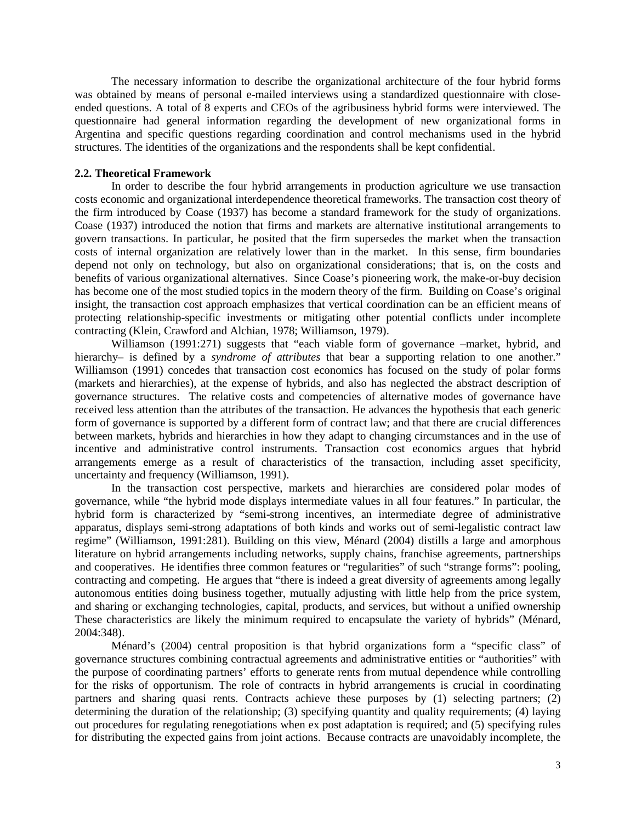The necessary information to describe the organizational architecture of the four hybrid forms was obtained by means of personal e-mailed interviews using a standardized questionnaire with closeended questions. A total of 8 experts and CEOs of the agribusiness hybrid forms were interviewed. The questionnaire had general information regarding the development of new organizational forms in Argentina and specific questions regarding coordination and control mechanisms used in the hybrid structures. The identities of the organizations and the respondents shall be kept confidential.

### **2.2. Theoretical Framework**

In order to describe the four hybrid arrangements in production agriculture we use transaction costs economic and organizational interdependence theoretical frameworks. The transaction cost theory of the firm introduced by Coase (1937) has become a standard framework for the study of organizations. Coase (1937) introduced the notion that firms and markets are alternative institutional arrangements to govern transactions. In particular, he posited that the firm supersedes the market when the transaction costs of internal organization are relatively lower than in the market. In this sense, firm boundaries depend not only on technology, but also on organizational considerations; that is, on the costs and benefits of various organizational alternatives. Since Coase's pioneering work, the make-or-buy decision has become one of the most studied topics in the modern theory of the firm. Building on Coase's original insight, the transaction cost approach emphasizes that vertical coordination can be an efficient means of protecting relationship-specific investments or mitigating other potential conflicts under incomplete contracting (Klein, Crawford and Alchian, 1978; Williamson, 1979).

Williamson (1991:271) suggests that "each viable form of governance –market, hybrid, and hierarchy– is defined by a *syndrome of attributes* that bear a supporting relation to one another." Williamson (1991) concedes that transaction cost economics has focused on the study of polar forms (markets and hierarchies), at the expense of hybrids, and also has neglected the abstract description of governance structures. The relative costs and competencies of alternative modes of governance have received less attention than the attributes of the transaction. He advances the hypothesis that each generic form of governance is supported by a different form of contract law; and that there are crucial differences between markets, hybrids and hierarchies in how they adapt to changing circumstances and in the use of incentive and administrative control instruments. Transaction cost economics argues that hybrid arrangements emerge as a result of characteristics of the transaction, including asset specificity, uncertainty and frequency (Williamson, 1991).

In the transaction cost perspective, markets and hierarchies are considered polar modes of governance, while "the hybrid mode displays intermediate values in all four features." In particular, the hybrid form is characterized by "semi-strong incentives, an intermediate degree of administrative apparatus, displays semi-strong adaptations of both kinds and works out of semi-legalistic contract law regime" (Williamson, 1991:281). Building on this view, Ménard (2004) distills a large and amorphous literature on hybrid arrangements including networks, supply chains, franchise agreements, partnerships and cooperatives. He identifies three common features or "regularities" of such "strange forms": pooling, contracting and competing. He argues that "there is indeed a great diversity of agreements among legally autonomous entities doing business together, mutually adjusting with little help from the price system, and sharing or exchanging technologies, capital, products, and services, but without a unified ownership These characteristics are likely the minimum required to encapsulate the variety of hybrids" (Ménard, 2004:348).

Ménard's (2004) central proposition is that hybrid organizations form a "specific class" of governance structures combining contractual agreements and administrative entities or "authorities" with the purpose of coordinating partners' efforts to generate rents from mutual dependence while controlling for the risks of opportunism. The role of contracts in hybrid arrangements is crucial in coordinating partners and sharing quasi rents. Contracts achieve these purposes by (1) selecting partners; (2) determining the duration of the relationship; (3) specifying quantity and quality requirements; (4) laying out procedures for regulating renegotiations when ex post adaptation is required; and (5) specifying rules for distributing the expected gains from joint actions. Because contracts are unavoidably incomplete, the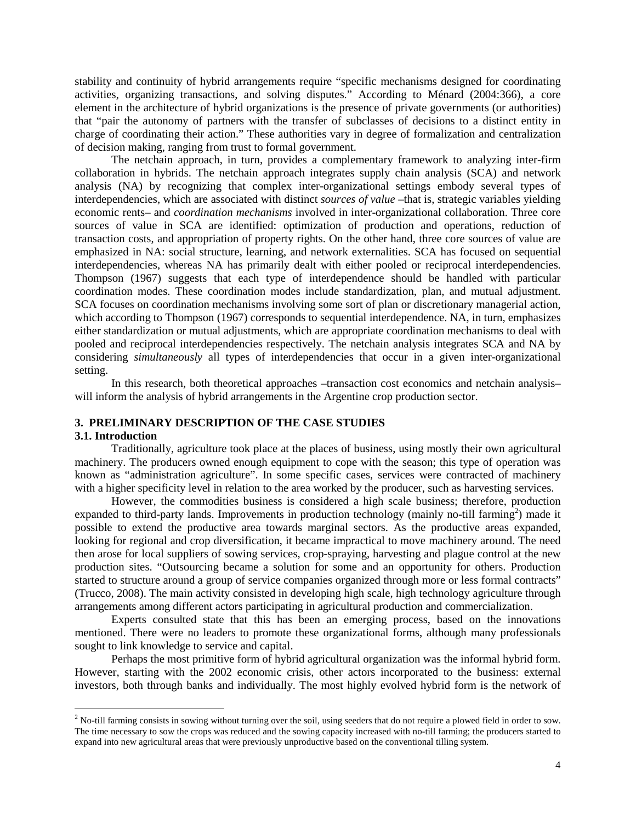stability and continuity of hybrid arrangements require "specific mechanisms designed for coordinating activities, organizing transactions, and solving disputes." According to Ménard (2004:366), a core element in the architecture of hybrid organizations is the presence of private governments (or authorities) that "pair the autonomy of partners with the transfer of subclasses of decisions to a distinct entity in charge of coordinating their action." These authorities vary in degree of formalization and centralization of decision making, ranging from trust to formal government.

The netchain approach, in turn, provides a complementary framework to analyzing inter-firm collaboration in hybrids. The netchain approach integrates supply chain analysis (SCA) and network analysis (NA) by recognizing that complex inter-organizational settings embody several types of interdependencies, which are associated with distinct *sources of value* –that is, strategic variables yielding economic rents– and *coordination mechanisms* involved in inter-organizational collaboration. Three core sources of value in SCA are identified: optimization of production and operations, reduction of transaction costs, and appropriation of property rights. On the other hand, three core sources of value are emphasized in NA: social structure, learning, and network externalities. SCA has focused on sequential interdependencies, whereas NA has primarily dealt with either pooled or reciprocal interdependencies. Thompson (1967) suggests that each type of interdependence should be handled with particular coordination modes. These coordination modes include standardization, plan, and mutual adjustment. SCA focuses on coordination mechanisms involving some sort of plan or discretionary managerial action, which according to Thompson (1967) corresponds to sequential interdependence. NA, in turn, emphasizes either standardization or mutual adjustments, which are appropriate coordination mechanisms to deal with pooled and reciprocal interdependencies respectively. The netchain analysis integrates SCA and NA by considering *simultaneously* all types of interdependencies that occur in a given inter-organizational setting.

In this research, both theoretical approaches –transaction cost economics and netchain analysis– will inform the analysis of hybrid arrangements in the Argentine crop production sector.

# **3. PRELIMINARY DESCRIPTION OF THE CASE STUDIES**

#### **3.1. Introduction**

Traditionally, agriculture took place at the places of business, using mostly their own agricultural machinery. The producers owned enough equipment to cope with the season; this type of operation was known as "administration agriculture". In some specific cases, services were contracted of machinery with a higher specificity level in relation to the area worked by the producer, such as harvesting services.

However, the commodities business is considered a high scale business; therefore, production expanded to third-party lands. Improvements in production technology (mainly no-till farming<sup>2</sup>) made it possible to extend the productive area towards marginal sectors. As the productive areas expanded, looking for regional and crop diversification, it became impractical to move machinery around. The need then arose for local suppliers of sowing services, crop-spraying, harvesting and plague control at the new production sites. "Outsourcing became a solution for some and an opportunity for others. Production started to structure around a group of service companies organized through more or less formal contracts" (Trucco, 2008). The main activity consisted in developing high scale, high technology agriculture through arrangements among different actors participating in agricultural production and commercialization.

Experts consulted state that this has been an emerging process, based on the innovations mentioned. There were no leaders to promote these organizational forms, although many professionals sought to link knowledge to service and capital.

Perhaps the most primitive form of hybrid agricultural organization was the informal hybrid form. However, starting with the 2002 economic crisis, other actors incorporated to the business: external investors, both through banks and individually. The most highly evolved hybrid form is the network of

The sum of the solution of the solution of the soil all the soil, using seeders that do not require a plowed field in order to sow.<br><sup>2</sup> No-till farming consists in sowing without turning over the soil, using seeders that d The time necessary to sow the crops was reduced and the sowing capacity increased with no-till farming; the producers started to expand into new agricultural areas that were previously unproductive based on the conventional tilling system.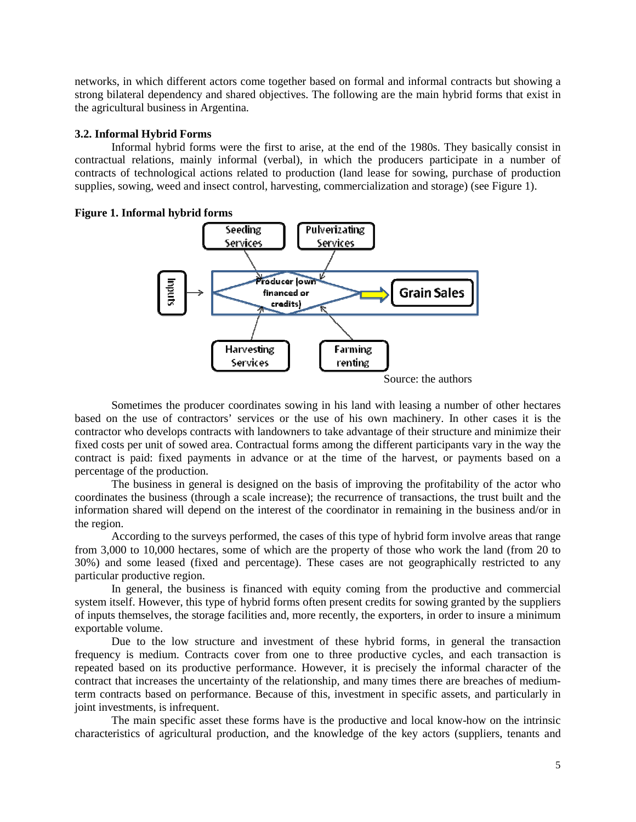networks, in which different actors come together based on formal and informal contracts but showing a strong bilateral dependency and shared objectives. The following are the main hybrid forms that exist in the agricultural business in Argentina.

## **3.2. Informal Hybrid Forms**

Informal hybrid forms were the first to arise, at the end of the 1980s. They basically consist in contractual relations, mainly informal (verbal), in which the producers participate in a number of contracts of technological actions related to production (land lease for sowing, purchase of production supplies, sowing, weed and insect control, harvesting, commercialization and storage) (see Figure 1).





Sometimes the producer coordinates sowing in his land with leasing a number of other hectares based on the use of contractors' services or the use of his own machinery. In other cases it is the contractor who develops contracts with landowners to take advantage of their structure and minimize their fixed costs per unit of sowed area. Contractual forms among the different participants vary in the way the contract is paid: fixed payments in advance or at the time of the harvest, or payments based on a percentage of the production.

The business in general is designed on the basis of improving the profitability of the actor who coordinates the business (through a scale increase); the recurrence of transactions, the trust built and the information shared will depend on the interest of the coordinator in remaining in the business and/or in the region.

According to the surveys performed, the cases of this type of hybrid form involve areas that range from 3,000 to 10,000 hectares, some of which are the property of those who work the land (from 20 to 30%) and some leased (fixed and percentage). These cases are not geographically restricted to any particular productive region.

In general, the business is financed with equity coming from the productive and commercial system itself. However, this type of hybrid forms often present credits for sowing granted by the suppliers of inputs themselves, the storage facilities and, more recently, the exporters, in order to insure a minimum exportable volume.

Due to the low structure and investment of these hybrid forms, in general the transaction frequency is medium. Contracts cover from one to three productive cycles, and each transaction is repeated based on its productive performance. However, it is precisely the informal character of the contract that increases the uncertainty of the relationship, and many times there are breaches of mediumterm contracts based on performance. Because of this, investment in specific assets, and particularly in joint investments, is infrequent.

The main specific asset these forms have is the productive and local know-how on the intrinsic characteristics of agricultural production, and the knowledge of the key actors (suppliers, tenants and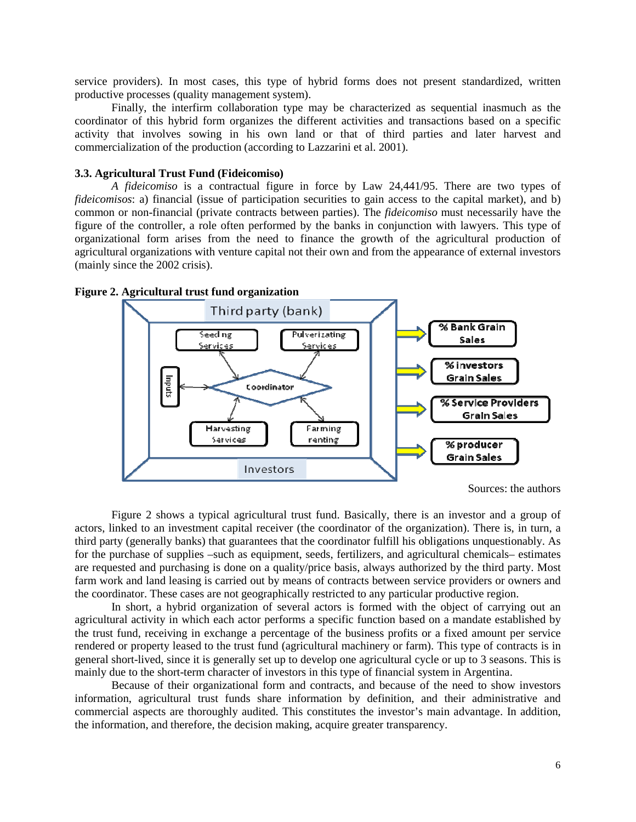service providers). In most cases, this type of hybrid forms does not present standardized, written productive processes (quality management system).

Finally, the interfirm collaboration type may be characterized as sequential inasmuch as the coordinator of this hybrid form organizes the different activities and transactions based on a specific activity that involves sowing in his own land or that of third parties and later harvest and commercialization of the production (according to Lazzarini et al. 2001).

### **3.3. Agricultural Trust Fund (Fideicomiso)**

*A fideicomiso* is a contractual figure in force by Law 24,441/95. There are two types of *fideicomisos*: a) financial (issue of participation securities to gain access to the capital market), and b) common or non-financial (private contracts between parties). The *fideicomiso* must necessarily have the figure of the controller, a role often performed by the banks in conjunction with lawyers. This type of organizational form arises from the need to finance the growth of the agricultural production of agricultural organizations with venture capital not their own and from the appearance of external investors (mainly since the 2002 crisis).



**Figure 2. Agricultural trust fund organization** 

Figure 2 shows a typical agricultural trust fund. Basically, there is an investor and a group of actors, linked to an investment capital receiver (the coordinator of the organization). There is, in turn, a third party (generally banks) that guarantees that the coordinator fulfill his obligations unquestionably. As for the purchase of supplies –such as equipment, seeds, fertilizers, and agricultural chemicals– estimates are requested and purchasing is done on a quality/price basis, always authorized by the third party. Most farm work and land leasing is carried out by means of contracts between service providers or owners and the coordinator. These cases are not geographically restricted to any particular productive region.

In short, a hybrid organization of several actors is formed with the object of carrying out an agricultural activity in which each actor performs a specific function based on a mandate established by the trust fund, receiving in exchange a percentage of the business profits or a fixed amount per service rendered or property leased to the trust fund (agricultural machinery or farm). This type of contracts is in general short-lived, since it is generally set up to develop one agricultural cycle or up to 3 seasons. This is mainly due to the short-term character of investors in this type of financial system in Argentina.

Because of their organizational form and contracts, and because of the need to show investors information, agricultural trust funds share information by definition, and their administrative and commercial aspects are thoroughly audited. This constitutes the investor's main advantage. In addition, the information, and therefore, the decision making, acquire greater transparency.

Sources: the authors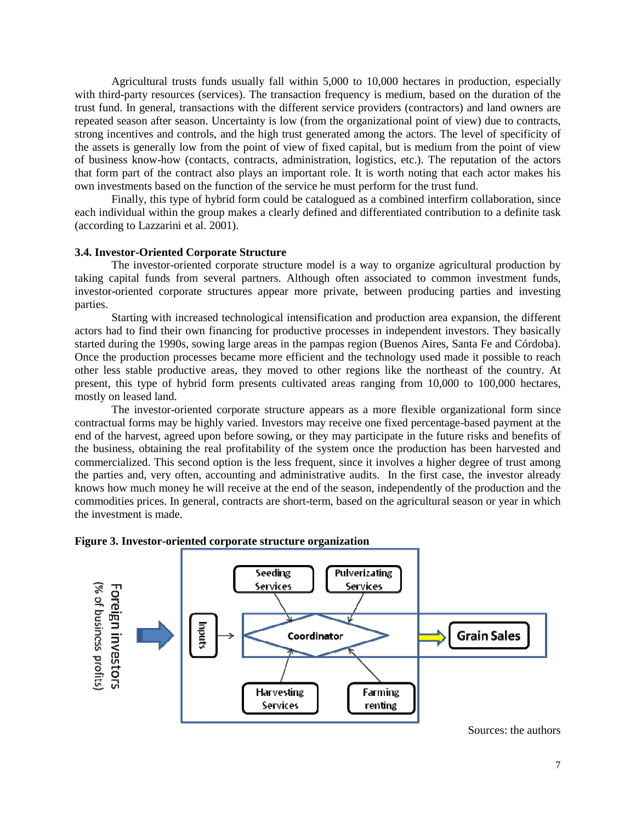Agricultural trusts funds usually fall within 5,000 to 10,000 hectares in production, especially with third-party resources (services). The transaction frequency is medium, based on the duration of the trust fund. In general, transactions with the different service providers (contractors) and land owners are repeated season after season. Uncertainty is low (from the organizational point of view) due to contracts, strong incentives and controls, and the high trust generated among the actors. The level of specificity of the assets is generally low from the point of view of fixed capital, but is medium from the point of view of business know-how (contacts, contracts, administration, logistics, etc.). The reputation of the actors that form part of the contract also plays an important role. It is worth noting that each actor makes his own investments based on the function of the service he must perform for the trust fund.

Finally, this type of hybrid form could be catalogued as a combined interfirm collaboration, since each individual within the group makes a clearly defined and differentiated contribution to a definite task (according to Lazzarini et al. 2001).

#### **3.4. Investor-Oriented Corporate Structure**

The investor-oriented corporate structure model is a way to organize agricultural production by taking capital funds from several partners. Although often associated to common investment funds, investor-oriented corporate structures appear more private, between producing parties and investing parties.

Starting with increased technological intensification and production area expansion, the different actors had to find their own financing for productive processes in independent investors. They basically started during the 1990s, sowing large areas in the pampas region (Buenos Aires, Santa Fe and Córdoba). Once the production processes became more efficient and the technology used made it possible to reach other less stable productive areas, they moved to other regions like the northeast of the country. At present, this type of hybrid form presents cultivated areas ranging from 10,000 to 100,000 hectares, mostly on leased land.

The investor-oriented corporate structure appears as a more flexible organizational form since contractual forms may be highly varied. Investors may receive one fixed percentage-based payment at the end of the harvest, agreed upon before sowing, or they may participate in the future risks and benefits of the business, obtaining the real profitability of the system once the production has been harvested and commercialized. This second option is the less frequent, since it involves a higher degree of trust among the parties and, very often, accounting and administrative audits. In the first case, the investor already knows how much money he will receive at the end of the season, independently of the production and the commodities prices. In general, contracts are short-term, based on the agricultural season or year in which the investment is made.

![](_page_6_Figure_6.jpeg)

#### **Figure 3. Investor-oriented corporate structure organization**

Sources: the authors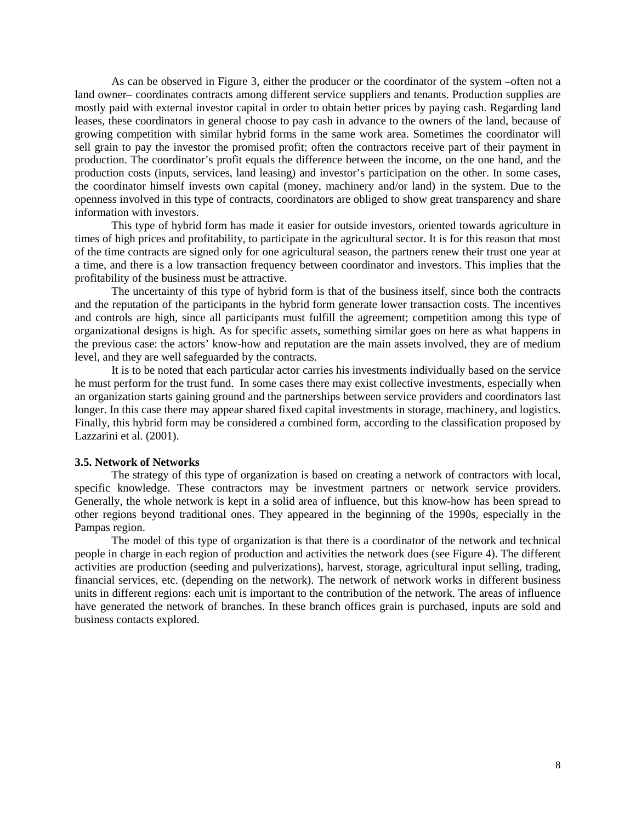As can be observed in Figure 3, either the producer or the coordinator of the system –often not a land owner– coordinates contracts among different service suppliers and tenants. Production supplies are mostly paid with external investor capital in order to obtain better prices by paying cash. Regarding land leases, these coordinators in general choose to pay cash in advance to the owners of the land, because of growing competition with similar hybrid forms in the same work area. Sometimes the coordinator will sell grain to pay the investor the promised profit; often the contractors receive part of their payment in production. The coordinator's profit equals the difference between the income, on the one hand, and the production costs (inputs, services, land leasing) and investor's participation on the other. In some cases, the coordinator himself invests own capital (money, machinery and/or land) in the system. Due to the openness involved in this type of contracts, coordinators are obliged to show great transparency and share information with investors.

This type of hybrid form has made it easier for outside investors, oriented towards agriculture in times of high prices and profitability, to participate in the agricultural sector. It is for this reason that most of the time contracts are signed only for one agricultural season, the partners renew their trust one year at a time, and there is a low transaction frequency between coordinator and investors. This implies that the profitability of the business must be attractive.

The uncertainty of this type of hybrid form is that of the business itself, since both the contracts and the reputation of the participants in the hybrid form generate lower transaction costs. The incentives and controls are high, since all participants must fulfill the agreement; competition among this type of organizational designs is high. As for specific assets, something similar goes on here as what happens in the previous case: the actors' know-how and reputation are the main assets involved, they are of medium level, and they are well safeguarded by the contracts.

It is to be noted that each particular actor carries his investments individually based on the service he must perform for the trust fund. In some cases there may exist collective investments, especially when an organization starts gaining ground and the partnerships between service providers and coordinators last longer. In this case there may appear shared fixed capital investments in storage, machinery, and logistics. Finally, this hybrid form may be considered a combined form, according to the classification proposed by Lazzarini et al. (2001).

### **3.5. Network of Networks**

The strategy of this type of organization is based on creating a network of contractors with local, specific knowledge. These contractors may be investment partners or network service providers. Generally, the whole network is kept in a solid area of influence, but this know-how has been spread to other regions beyond traditional ones. They appeared in the beginning of the 1990s, especially in the Pampas region.

The model of this type of organization is that there is a coordinator of the network and technical people in charge in each region of production and activities the network does (see Figure 4). The different activities are production (seeding and pulverizations), harvest, storage, agricultural input selling, trading, financial services, etc. (depending on the network). The network of network works in different business units in different regions: each unit is important to the contribution of the network. The areas of influence have generated the network of branches. In these branch offices grain is purchased, inputs are sold and business contacts explored.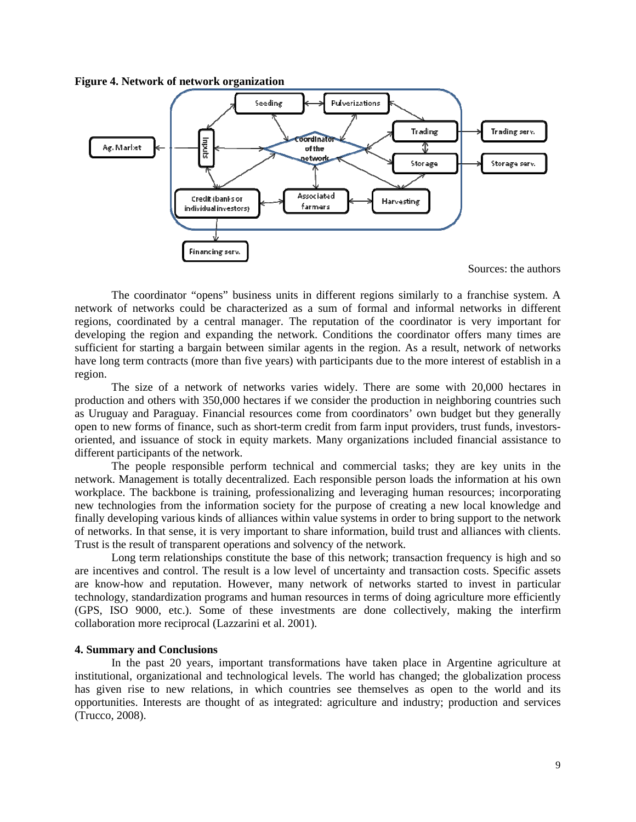**Figure 4. Network of network organization** 

![](_page_8_Figure_1.jpeg)

Sources: the authors

The coordinator "opens" business units in different regions similarly to a franchise system. A network of networks could be characterized as a sum of formal and informal networks in different regions, coordinated by a central manager. The reputation of the coordinator is very important for developing the region and expanding the network. Conditions the coordinator offers many times are sufficient for starting a bargain between similar agents in the region. As a result, network of networks have long term contracts (more than five years) with participants due to the more interest of establish in a region.

The size of a network of networks varies widely. There are some with 20,000 hectares in production and others with 350,000 hectares if we consider the production in neighboring countries such as Uruguay and Paraguay. Financial resources come from coordinators' own budget but they generally open to new forms of finance, such as short-term credit from farm input providers, trust funds, investorsoriented, and issuance of stock in equity markets. Many organizations included financial assistance to different participants of the network.

The people responsible perform technical and commercial tasks; they are key units in the network. Management is totally decentralized. Each responsible person loads the information at his own workplace. The backbone is training, professionalizing and leveraging human resources; incorporating new technologies from the information society for the purpose of creating a new local knowledge and finally developing various kinds of alliances within value systems in order to bring support to the network of networks. In that sense, it is very important to share information, build trust and alliances with clients. Trust is the result of transparent operations and solvency of the network.

Long term relationships constitute the base of this network; transaction frequency is high and so are incentives and control. The result is a low level of uncertainty and transaction costs. Specific assets are know-how and reputation. However, many network of networks started to invest in particular technology, standardization programs and human resources in terms of doing agriculture more efficiently (GPS, ISO 9000, etc.). Some of these investments are done collectively, making the interfirm collaboration more reciprocal (Lazzarini et al. 2001).

### **4. Summary and Conclusions**

In the past 20 years, important transformations have taken place in Argentine agriculture at institutional, organizational and technological levels. The world has changed; the globalization process has given rise to new relations, in which countries see themselves as open to the world and its opportunities. Interests are thought of as integrated: agriculture and industry; production and services (Trucco, 2008).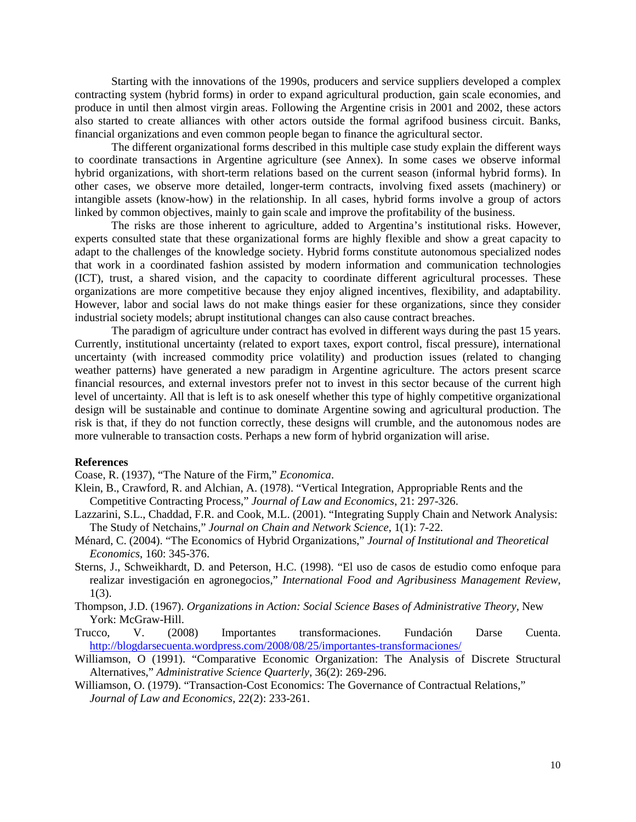Starting with the innovations of the 1990s, producers and service suppliers developed a complex contracting system (hybrid forms) in order to expand agricultural production, gain scale economies, and produce in until then almost virgin areas. Following the Argentine crisis in 2001 and 2002, these actors also started to create alliances with other actors outside the formal agrifood business circuit. Banks, financial organizations and even common people began to finance the agricultural sector.

The different organizational forms described in this multiple case study explain the different ways to coordinate transactions in Argentine agriculture (see Annex). In some cases we observe informal hybrid organizations, with short-term relations based on the current season (informal hybrid forms). In other cases, we observe more detailed, longer-term contracts, involving fixed assets (machinery) or intangible assets (know-how) in the relationship. In all cases, hybrid forms involve a group of actors linked by common objectives, mainly to gain scale and improve the profitability of the business.

The risks are those inherent to agriculture, added to Argentina's institutional risks. However, experts consulted state that these organizational forms are highly flexible and show a great capacity to adapt to the challenges of the knowledge society. Hybrid forms constitute autonomous specialized nodes that work in a coordinated fashion assisted by modern information and communication technologies (ICT), trust, a shared vision, and the capacity to coordinate different agricultural processes. These organizations are more competitive because they enjoy aligned incentives, flexibility, and adaptability. However, labor and social laws do not make things easier for these organizations, since they consider industrial society models; abrupt institutional changes can also cause contract breaches.

The paradigm of agriculture under contract has evolved in different ways during the past 15 years. Currently, institutional uncertainty (related to export taxes, export control, fiscal pressure), international uncertainty (with increased commodity price volatility) and production issues (related to changing weather patterns) have generated a new paradigm in Argentine agriculture. The actors present scarce financial resources, and external investors prefer not to invest in this sector because of the current high level of uncertainty. All that is left is to ask oneself whether this type of highly competitive organizational design will be sustainable and continue to dominate Argentine sowing and agricultural production. The risk is that, if they do not function correctly, these designs will crumble, and the autonomous nodes are more vulnerable to transaction costs. Perhaps a new form of hybrid organization will arise.

#### **References**

Coase, R. (1937), "The Nature of the Firm," *Economica*.

- Klein, B., Crawford, R. and Alchian, A. (1978). "Vertical Integration, Appropriable Rents and the Competitive Contracting Process," *Journal of Law and Economics*, 21: 297-326.
- Lazzarini, S.L., Chaddad, F.R. and Cook, M.L. (2001). "Integrating Supply Chain and Network Analysis: The Study of Netchains," *Journal on Chain and Network Science*, 1(1): 7-22.
- Ménard, C. (2004). "The Economics of Hybrid Organizations," *Journal of Institutional and Theoretical Economics*, 160: 345-376.
- Sterns, J., Schweikhardt, D. and Peterson, H.C. (1998). "El uso de casos de estudio como enfoque para realizar investigación en agronegocios," *International Food and Agribusiness Management Review*, 1(3).
- Thompson, J.D. (1967). *Organizations in Action: Social Science Bases of Administrative Theory*, New York: McGraw-Hill.
- Trucco, V. (2008) Importantes transformaciones. Fundación Darse Cuenta. http://blogdarsecuenta.wordpress.com/2008/08/25/importantes-transformaciones/
- Williamson, O (1991). "Comparative Economic Organization: The Analysis of Discrete Structural Alternatives," *Administrative Science Quarterly*, 36(2): 269-296.
- Williamson, O. (1979). "Transaction-Cost Economics: The Governance of Contractual Relations," *Journal of Law and Economics*, 22(2): 233-261.